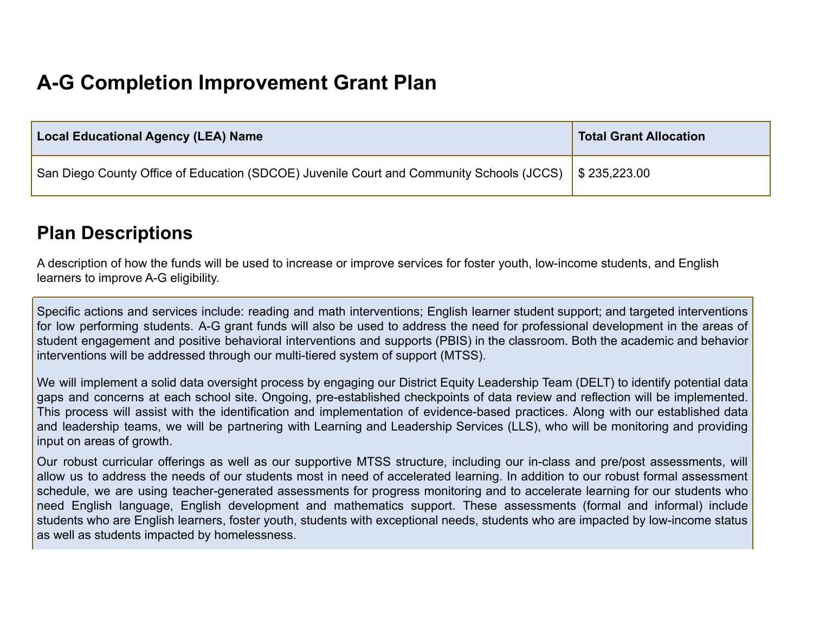## **A-G Completion Improvement Grant Plan**

| <b>Local Educational Agency (LEA) Name</b>                                                                         | <b>Total Grant Allocation</b> |
|--------------------------------------------------------------------------------------------------------------------|-------------------------------|
| San Diego County Office of Education (SDCOE) Juvenile Court and Community Schools (JCCS) $\parallel$ \$ 235,223.00 |                               |

## **Plan Descriptions**

A description of how the funds will be used to increase or improve services for foster youth, low-income students, and English learners to improve A-G eligibility.

Specific actions and services include: reading and math interventions; English learner student support; and targeted interventions for low performing students. A-G grant funds will also be used to address the need for professional development in the areas of student engagement and positive behavioral interventions and supports (PBIS) in the classroom. Both the academic and behavior interventions will be addressed through our multi-tiered system of support (MTSS).

We will implement a solid data oversight process by engaging our District Equity Leadership Team (DELT) to identify potential data gaps and concerns at each school site. Ongoing, pre-established checkpoints of data review and reflection will be implemented. This process will assist with the identification and implementation of evidence-based practices. Along with our established data and leadership teams, we will be partnering with Learning and Leadership Services (LLS), who will be monitoring and providing input on areas of growth.

Our robust curricular offerings as well as our supportive MTSS structure, including our in-class and pre/post assessments, will allow us to address the needs of our students most in need of accelerated learning. In addition to our robust formal assessment schedule, we are using teacher-generated assessments for progress monitoring and to accelerate learning for our students who need English language, English development and mathematics support. These assessments (formal and informal) include students who are English learners, foster youth, students with exceptional needs, students who are impacted by low-income status as well as students impacted by homelessness.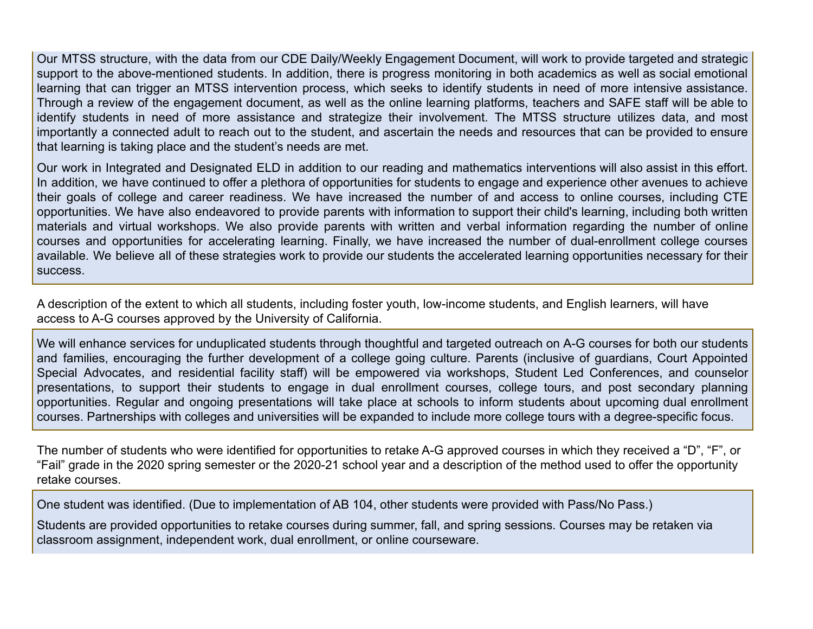Our MTSS structure, with the data from our CDE Daily/Weekly Engagement Document, will work to provide targeted and strategic support to the above-mentioned students. In addition, there is progress monitoring in both academics as well as social emotional learning that can trigger an MTSS intervention process, which seeks to identify students in need of more intensive assistance. Through a review of the engagement document, as well as the online learning platforms, teachers and SAFE staff will be able to identify students in need of more assistance and strategize their involvement. The MTSS structure utilizes data, and most importantly a connected adult to reach out to the student, and ascertain the needs and resources that can be provided to ensure that learning is taking place and the student's needs are met.

Our work in Integrated and Designated ELD in addition to our reading and mathematics interventions will also assist in this effort. In addition, we have continued to offer a plethora of opportunities for students to engage and experience other avenues to achieve their goals of college and career readiness. We have increased the number of and access to online courses, including CTE opportunities. We have also endeavored to provide parents with information to support their child's learning, including both written materials and virtual workshops. We also provide parents with written and verbal information regarding the number of online courses and opportunities for accelerating learning. Finally, we have increased the number of dual-enrollment college courses available. We believe all of these strategies work to provide our students the accelerated learning opportunities necessary for their success.

A description of the extent to which all students, including foster youth, low-income students, and English learners, will have access to A-G courses approved by the University of California.

We will enhance services for unduplicated students through thoughtful and targeted outreach on A-G courses for both our students and families, encouraging the further development of a college going culture. Parents (inclusive of guardians, Court Appointed Special Advocates, and residential facility staff) will be empowered via workshops, Student Led Conferences, and counselor presentations, to support their students to engage in dual enrollment courses, college tours, and post secondary planning opportunities. Regular and ongoing presentations will take place at schools to inform students about upcoming dual enrollment courses. Partnerships with colleges and universities will be expanded to include more college tours with a degree-specific focus.

The number of students who were identified for opportunities to retake A-G approved courses in which they received a "D", "F", or "Fail" grade in the 2020 spring semester or the 2020-21 school year and a description of the method used to offer the opportunity retake courses.

One student was identified. (Due to implementation of AB 104, other students were provided with Pass/No Pass.)

Students are provided opportunities to retake courses during summer, fall, and spring sessions. Courses may be retaken via classroom assignment, independent work, dual enrollment, or online courseware.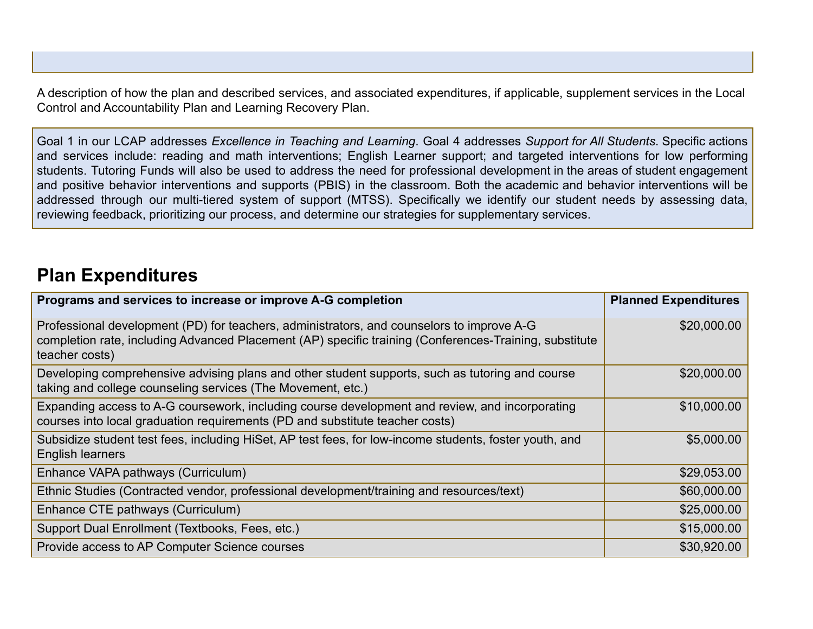A description of how the plan and described services, and associated expenditures, if applicable, supplement services in the Local Control and Accountability Plan and Learning Recovery Plan.

Goal 1 in our LCAP addresses *Excellence in Teaching and Learning*. Goal 4 addresses *Support for All Students*. Specific actions and services include: reading and math interventions; English Learner support; and targeted interventions for low performing students. Tutoring Funds will also be used to address the need for professional development in the areas of student engagement and positive behavior interventions and supports (PBIS) in the classroom. Both the academic and behavior interventions will be addressed through our multi-tiered system of support (MTSS). Specifically we identify our student needs by assessing data, reviewing feedback, prioritizing our process, and determine our strategies for supplementary services.

## **Plan Expenditures**

| Programs and services to increase or improve A-G completion                                                                                                                                                           | <b>Planned Expenditures</b> |
|-----------------------------------------------------------------------------------------------------------------------------------------------------------------------------------------------------------------------|-----------------------------|
| Professional development (PD) for teachers, administrators, and counselors to improve A-G<br>completion rate, including Advanced Placement (AP) specific training (Conferences-Training, substitute<br>teacher costs) | \$20,000.00                 |
| Developing comprehensive advising plans and other student supports, such as tutoring and course<br>taking and college counseling services (The Movement, etc.)                                                        | \$20,000.00                 |
| Expanding access to A-G coursework, including course development and review, and incorporating<br>courses into local graduation requirements (PD and substitute teacher costs)                                        | \$10,000.00                 |
| Subsidize student test fees, including HiSet, AP test fees, for low-income students, foster youth, and<br>English learners                                                                                            | \$5,000.00                  |
| Enhance VAPA pathways (Curriculum)                                                                                                                                                                                    | \$29,053.00                 |
| Ethnic Studies (Contracted vendor, professional development/training and resources/text)                                                                                                                              | \$60,000.00                 |
| Enhance CTE pathways (Curriculum)                                                                                                                                                                                     | \$25,000.00                 |
| Support Dual Enrollment (Textbooks, Fees, etc.)                                                                                                                                                                       | \$15,000.00                 |
| Provide access to AP Computer Science courses                                                                                                                                                                         | \$30,920.00                 |